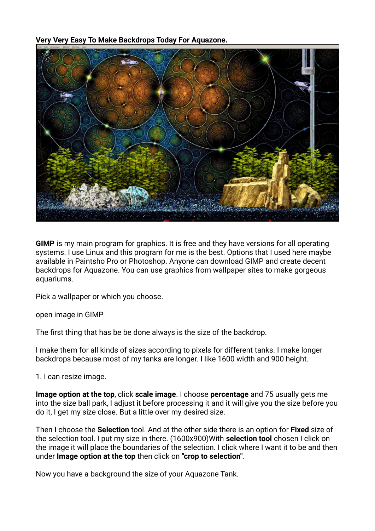**Very Very Easy To Make Backdrops Today For Aquazone.**



**GIMP** is my main program for graphics. It is free and they have versions for all operating systems. I use Linux and this program for me is the best. Options that I used here maybe available in Paintsho Pro or Photoshop. Anyone can download GIMP and create decent backdrops for Aquazone. You can use graphics from wallpaper sites to make gorgeous aquariums.

Pick a wallpaper or which you choose.

open image in GIMP

The first thing that has be be done always is the size of the backdrop.

I make them for all kinds of sizes according to pixels for different tanks. I make longer backdrops because most of my tanks are longer. I like 1600 width and 900 height.

1. I can resize image.

**Image option at the top**, click **scale image**. I choose **percentage** and 75 usually gets me into the size ball park, I adjust it before processing it and it will give you the size before you do it, I get my size close. But a little over my desired size.

Then I choose the **Selection** tool. And at the other side there is an option for **Fixed** size of the selection tool. I put my size in there. (1600x900)With **selection tool** chosen I click on the image it will place the boundaries of the selection. I click where I want it to be and then under **Image option at the top** then click on **"crop to selection"**.

Now you have a background the size of your Aquazone Tank.